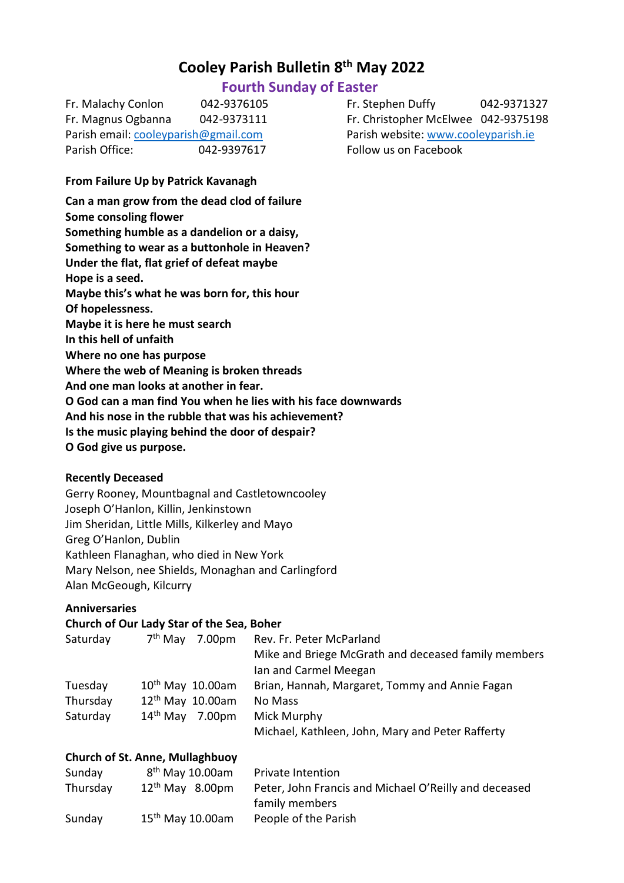# **Cooley Parish Bulletin 8 th May 2022**

# **Fourth Sunday of Easter**

| Fr. Malachy Conlon                   | 042-9376105 |
|--------------------------------------|-------------|
| Fr. Magnus Ogbanna                   | 042-9373111 |
| Parish email: cooleyparish@gmail.com |             |
| Parish Office:                       | 042-9397617 |

## **From Failure Up by Patrick Kavanagh**

**Can a man grow from the dead clod of failure Some consoling flower Something humble as a dandelion or a daisy, Something to wear as a buttonhole in Heaven? Under the flat, flat grief of defeat maybe Hope is a seed. Maybe this's what he was born for, this hour Of hopelessness. Maybe it is here he must search In this hell of unfaith Where no one has purpose Where the web of Meaning is broken threads And one man looks at another in fear. O God can a man find You when he lies with his face downwards And his nose in the rubble that was his achievement? Is the music playing behind the door of despair? O God give us purpose.**

# **Recently Deceased**

Gerry Rooney, Mountbagnal and Castletowncooley Joseph O'Hanlon, Killin, Jenkinstown Jim Sheridan, Little Mills, Kilkerley and Mayo Greg O'Hanlon, Dublin Kathleen Flanaghan, who died in New York Mary Nelson, nee Shields, Monaghan and Carlingford Alan McGeough, Kilcurry

#### **Anniversaries**

#### **Church of Our Lady Star of the Sea, Boher**

| Saturday | $7th$ May<br>7.00 <sub>pm</sub> | Rev. Fr. Peter McParland                            |
|----------|---------------------------------|-----------------------------------------------------|
|          |                                 | Mike and Briege McGrath and deceased family members |
|          |                                 | Ian and Carmel Meegan                               |
| Tuesday  | $10^{th}$ May $10.00$ am        | Brian, Hannah, Margaret, Tommy and Annie Fagan      |
| Thursday | $12th$ May 10.00am              | No Mass                                             |
| Saturday | $14th$ May 7.00pm               | Mick Murphy                                         |
|          |                                 | Michael, Kathleen, John, Mary and Peter Rafferty    |

#### **Church of St. Anne, Mullaghbuoy**

| Sunday   | $8th$ May 10.00am  | Private Intention                                     |
|----------|--------------------|-------------------------------------------------------|
| Thursday | $12th$ May 8.00pm  | Peter, John Francis and Michael O'Reilly and deceased |
|          |                    | family members                                        |
| Sunday   | $15th$ May 10.00am | People of the Parish                                  |

Fr. Stephen Duffy 042-9371327 Fr. Christopher McElwee 042-9375198 Parish website: [www.cooleyparish.ie](http://www.cooleyparish.ie/) Follow us on Facebook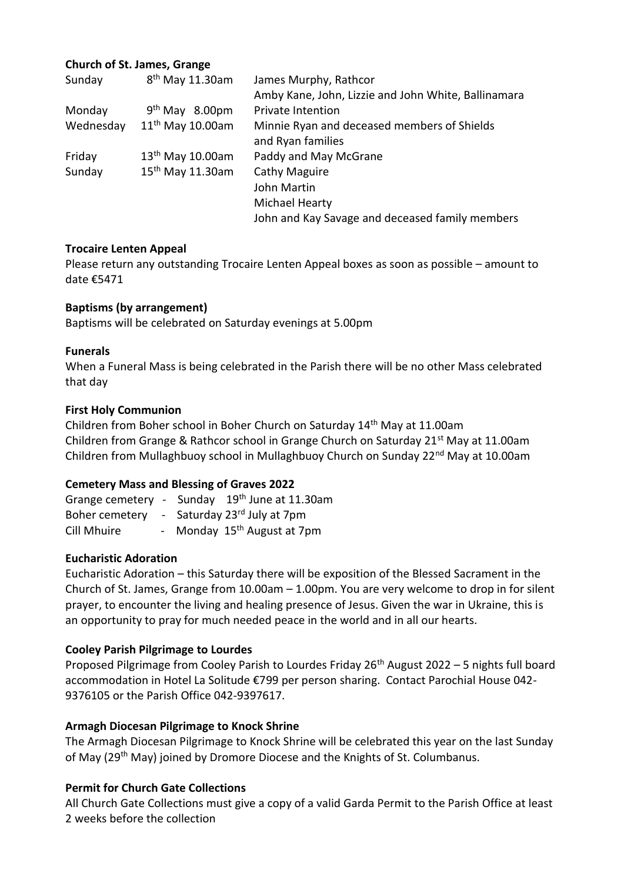# **Church of St. James, Grange**

| Sunday    | 8 <sup>th</sup> May 11.30am  | James Murphy, Rathcor                               |
|-----------|------------------------------|-----------------------------------------------------|
|           |                              | Amby Kane, John, Lizzie and John White, Ballinamara |
| Monday    | $9th$ May 8.00pm             | Private Intention                                   |
| Wednesday | 11 <sup>th</sup> May 10.00am | Minnie Ryan and deceased members of Shields         |
|           |                              | and Ryan families                                   |
| Friday    | 13 <sup>th</sup> May 10.00am | Paddy and May McGrane                               |
| Sunday    | 15 <sup>th</sup> May 11.30am | Cathy Maguire                                       |
|           |                              | John Martin                                         |
|           |                              | Michael Hearty                                      |
|           |                              | John and Kay Savage and deceased family members     |

# **Trocaire Lenten Appeal**

Please return any outstanding Trocaire Lenten Appeal boxes as soon as possible – amount to date €5471

# **Baptisms (by arrangement)**

Baptisms will be celebrated on Saturday evenings at 5.00pm

# **Funerals**

When a Funeral Mass is being celebrated in the Parish there will be no other Mass celebrated that day

# **First Holy Communion**

Children from Boher school in Boher Church on Saturday 14<sup>th</sup> May at 11.00am Children from Grange & Rathcor school in Grange Church on Saturday  $21<sup>st</sup>$  May at 11.00am Children from Mullaghbuoy school in Mullaghbuoy Church on Sunday 22<sup>nd</sup> May at 10.00am

# **Cemetery Mass and Blessing of Graves 2022**

Grange cemetery - Sunday 19<sup>th</sup> June at 11.30am Boher cemetery - Saturday 23<sup>rd</sup> July at 7pm Cill Mhuire - Monday 15<sup>th</sup> August at 7pm

#### **Eucharistic Adoration**

Eucharistic Adoration – this Saturday there will be exposition of the Blessed Sacrament in the Church of St. James, Grange from 10.00am – 1.00pm. You are very welcome to drop in for silent prayer, to encounter the living and healing presence of Jesus. Given the war in Ukraine, this is an opportunity to pray for much needed peace in the world and in all our hearts.

# **Cooley Parish Pilgrimage to Lourdes**

Proposed Pilgrimage from Cooley Parish to Lourdes Friday  $26<sup>th</sup>$  August 2022 – 5 nights full board accommodation in Hotel La Solitude €799 per person sharing. Contact Parochial House 042- 9376105 or the Parish Office 042-9397617.

#### **Armagh Diocesan Pilgrimage to Knock Shrine**

The Armagh Diocesan Pilgrimage to Knock Shrine will be celebrated this year on the last Sunday of May (29<sup>th</sup> May) joined by Dromore Diocese and the Knights of St. Columbanus.

# **Permit for Church Gate Collections**

All Church Gate Collections must give a copy of a valid Garda Permit to the Parish Office at least 2 weeks before the collection